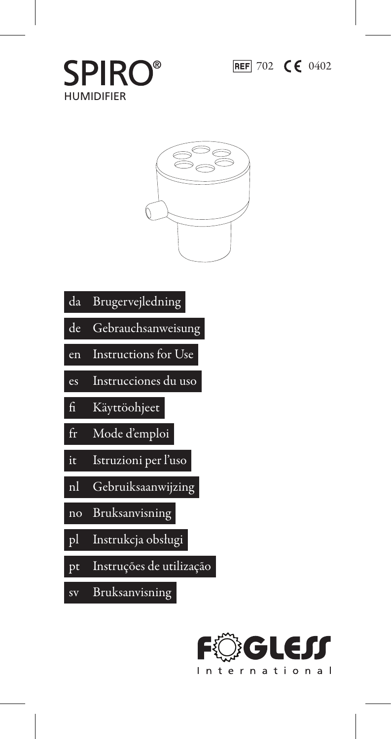





- da Brugervejledning
- de Gebrauchsanweisung
- en Instructions for Use
- es Instrucciones du uso
- fi Käyttöohjeet
- fr Mode d'emploi
- it Istruzioni per l'uso
- nl Gebruiksaanwijzing
- no Bruksanvisning
- pl Instrukcja obsługi
- pt Instruções de utilização
- sv Bruksanvisning

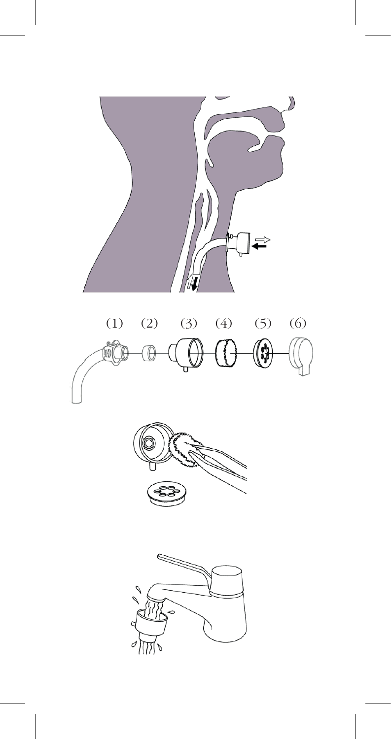





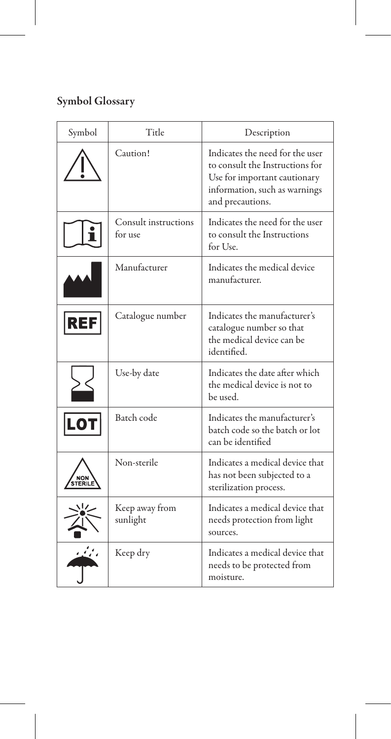# Symbol Glossary

| Symbol      | Title                           | Description                                                                                                                                             |
|-------------|---------------------------------|---------------------------------------------------------------------------------------------------------------------------------------------------------|
|             | Caution!                        | Indicates the need for the user<br>to consult the Instructions for<br>Use for important cautionary<br>information, such as warnings<br>and precautions. |
|             | Consult instructions<br>for use | Indicates the need for the user<br>to consult the Instructions<br>for Use.                                                                              |
|             | Manufacturer                    | Indicates the medical device<br>manufacturer.                                                                                                           |
| <b>REF</b>  | Catalogue number                | Indicates the manufacturer's<br>catalogue number so that<br>the medical device can be<br>identified.                                                    |
|             | Use-by date                     | Indicates the date after which<br>the medical device is not to<br>be used.                                                                              |
| <b>LOT</b>  | Barch code                      | Indicates the manufacturer's<br>batch code so the batch or lot<br>can be identified                                                                     |
| NON<br>TERI | Non-sterile                     | Indicates a medical device that<br>has not been subjected to a<br>sterilization process.                                                                |
| ۸IJ         | Keep away from<br>sunlight      | Indicates a medical device that<br>needs protection from light<br>sources.                                                                              |
|             | Keep dry                        | Indicates a medical device that<br>needs to be protected from<br>moisture.                                                                              |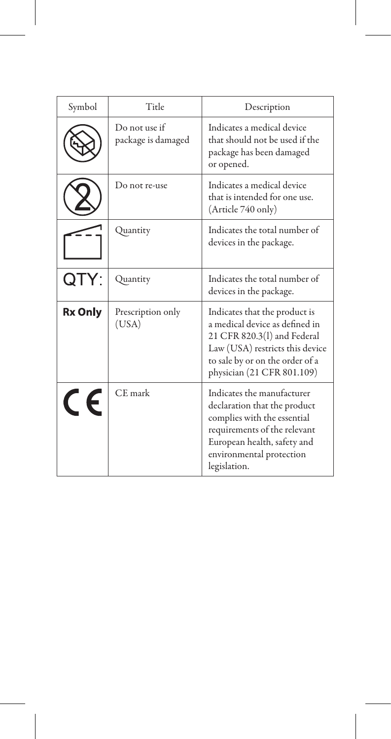| Symbol  | Title                               | Description                                                                                                                                                                                          |
|---------|-------------------------------------|------------------------------------------------------------------------------------------------------------------------------------------------------------------------------------------------------|
|         | Do not use if<br>package is damaged | Indicates a medical device<br>that should not be used if the<br>package has been damaged<br>or opened.                                                                                               |
|         | Do not re-use                       | Indicates a medical device<br>that is intended for one use.<br>(Article 740 only)                                                                                                                    |
|         | Quantity                            | Indicates the total number of<br>devices in the package.                                                                                                                                             |
| QTY.    | Quantity                            | Indicates the total number of<br>devices in the package.                                                                                                                                             |
| Rx Only | Prescription only<br>(USA)          | Indicates that the product is<br>a medical device as defined in<br>21 CFR 820.3(1) and Federal<br>Law (USA) restricts this device<br>to sale by or on the order of a<br>physician (21 CFR 801.109)   |
| CE      | CE mark                             | Indicates the manufacturer<br>declaration that the product<br>complies with the essential<br>requirements of the relevant<br>European health, safety and<br>environmental protection<br>legislation. |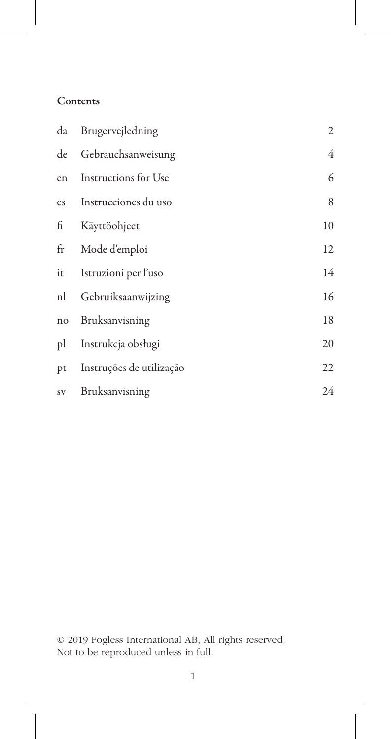## Contents

|             | da Brugervejledning      | 2              |
|-------------|--------------------------|----------------|
|             | de Gebrauchsanweisung    | $\overline{4}$ |
| en          | Instructions for Use     | 6              |
| es          | Instrucciones du uso     | 8              |
| fi          | Käyttöohjeet             | 10             |
| $f_{\rm r}$ | Mode d'emploi            | 12             |
| it          | Istruzioni per l'uso     | 14             |
| nl          | Gebruiksaanwijzing       | 16             |
| no          | Bruksanvisning           | 18             |
| pl          | Instrukcja obsługi       | 20             |
| pt          | Instruções de utilização | 22             |
| sv          | Bruksanvisning           | 24             |

© 2019 Fogless International AB, All rights reserved. Not to be reproduced unless in full.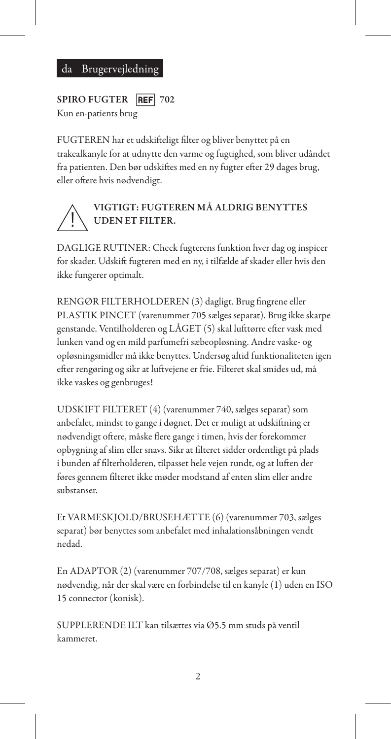#### da Brugervejledning

SPIRO FUGTER REF 702 Kun en-patients brug

FUGTEREN har et udskifteligt filter og bliver benyttet på en trakealkanyle for at udnytte den varme og fugtighed, som bliver udåndet fra patienten. Den bør udskiftes med en ny fugter efter 29 dages brug, eller oftere hvis nødvendigt.

# VIGTIGT: FUGTEREN MÅ ALDRIG BENYTTES UDEN ET FILTER.

DAGLIGE RUTINER: Check fugterens funktion hver dag og inspicer for skader. Udskift fugteren med en ny, i tilfælde af skader eller hvis den ikke fungerer optimalt.

RENGØR FILTERHOLDEREN (3) dagligt. Brug fingrene eller PLASTIK PINCET (varenummer 705 sælges separat). Brug ikke skarpe genstande. Ventilholderen og LÅGET (5) skal lufttørre efter vask med lunken vand og en mild parfumefri sæbeopløsning. Andre vaske- og opløsningsmidler må ikke benyttes. Undersøg altid funktionaliteten igen efter rengøring og sikr at luftvejene er frie. Filteret skal smides ud, må ikke vaskes og genbruges!

UDSKIFT FILTERET (4) (varenummer 740, sælges separat) som anbefalet, mindst to gange i døgnet. Det er muligt at udskiftning er nødvendigt oftere, måske flere gange i timen, hvis der forekommer opbygning af slim eller snavs. Sikr at filteret sidder ordentligt på plads i bunden af filterholderen, tilpasset hele vejen rundt, og at luften der føres gennem filteret ikke møder modstand af enten slim eller andre substanser.

Et VARMESKJOLD/BRUSEHÆTTE (6) (varenummer 703, sælges separat) bør benyttes som anbefalet med inhalationsåbningen vendt nedad.

En ADAPTOR (2) (varenummer 707/708, sælges separat) er kun nødvendig, når der skal være en forbindelse til en kanyle (1) uden en ISO 15 connector (konisk).

SUPPLERENDE ILT kan tilsættes via Ø5.5 mm studs på ventil kammeret.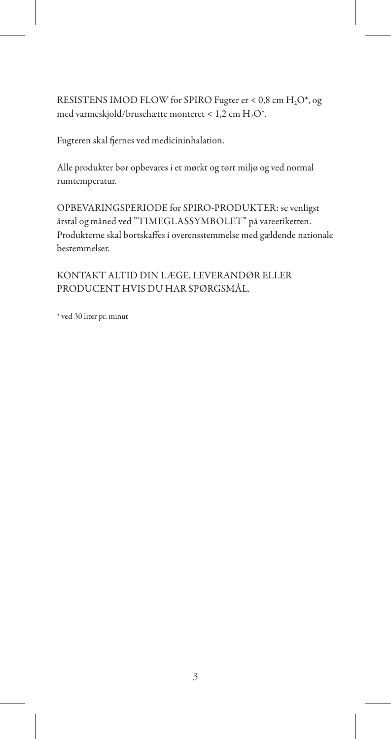RESISTENS IMOD FLOW for SPIRO Fugter er < 0,8 cm H<sub>2</sub>O\*, og med varmeskjold/brusehætte monteret < 1,2 cm H<sub>2</sub>O\*.

Fugteren skal fjernes ved medicininhalation.

Alle produkter bør opbevares i et mørkt og tørt miljø og ved normal rumtemperatur.

OPBEVARINGSPERIODE for SPIRO-PRODUKTER: se venligst årstal og måned ved "TIMEGLASSYMBOLET" på vareetiketten. Produkterne skal bortskaffes i overensstemmelse med gældende nationale bestemmelser.

KONTAKT ALTID DIN LÆGE, LEVERANDØR ELLER PRODUCENT HVIS DU HAR SPØRGSMÅL.

\* ved 30 liter pr. minut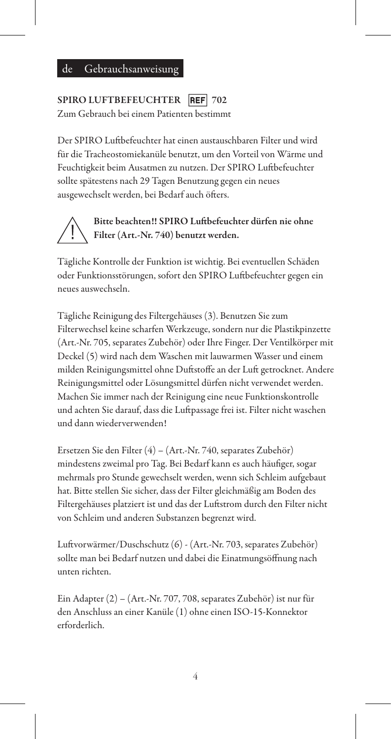#### de Gebrauchsanweisung

#### SPIRO LUFTBEFEUCHTER REF 702

Zum Gebrauch bei einem Patienten bestimmt

Der SPIRO Luftbefeuchter hat einen austauschbaren Filter und wird für die Tracheostomiekanüle benutzt, um den Vorteil von Wärme und Feuchtigkeit beim Ausatmen zu nutzen. Der SPIRO Luftbefeuchter sollte spätestens nach 29 Tagen Benutzung gegen ein neues ausgewechselt werden, bei Bedarf auch öfters.

### Bitte beachten!! SPIRO Luftbefeuchter dürfen nie ohne Filter (Art.-Nr. 740) benutzt werden.

Tägliche Kontrolle der Funktion ist wichtig. Bei eventuellen Schäden oder Funktionsstörungen, sofort den SPIRO Luftbefeuchter gegen ein neues auswechseln.

Tägliche Reinigung des Filtergehäuses (3). Benutzen Sie zum Filterwechsel keine scharfen Werkzeuge, sondern nur die Plastikpinzette (Art.-Nr. 705, separates Zubehör) oder Ihre Finger. Der Ventilkörper mit Deckel (5) wird nach dem Waschen mit lauwarmen Wasser und einem milden Reinigungsmittel ohne Duftstoffe an der Luft getrocknet. Andere Reinigungsmittel oder Lösungsmittel dürfen nicht verwendet werden. Machen Sie immer nach der Reinigung eine neue Funktionskontrolle und achten Sie darauf, dass die Luftpassage frei ist. Filter nicht waschen und dann wiederverwenden!

Ersetzen Sie den Filter (4) – (Art.-Nr. 740, separates Zubehör) mindestens zweimal pro Tag. Bei Bedarf kann es auch häufiger, sogar mehrmals pro Stunde gewechselt werden, wenn sich Schleim aufgebaut hat. Bitte stellen Sie sicher, dass der Filter gleichmäßig am Boden des Filtergehäuses platziert ist und das der Luftstrom durch den Filter nicht von Schleim und anderen Substanzen begrenzt wird.

Luftvorwärmer/Duschschutz (6) - (Art.-Nr. 703, separates Zubehör) sollte man bei Bedarf nutzen und dabei die Einatmungsöffnung nach unten richten.

Ein Adapter (2) – (Art.-Nr. 707, 708, separates Zubehör) ist nur für den Anschluss an einer Kanüle (1) ohne einen ISO-15-Konnektor erforderlich.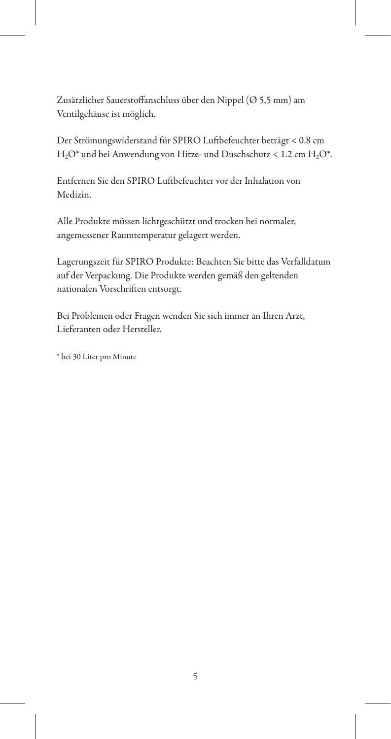Zusätzlicher Sauerstoffanschluss über den Nippel (Ø 5,5 mm) am Ventilgehäuse ist möglich.

Der Strömungswiderstand für SPIRO Luftbefeuchter beträgt < 0.8 cm H<sub>2</sub>O\* und bei Anwendung von Hitze- und Duschschutz < 1.2 cm H<sub>2</sub>O\*.

Entfernen Sie den SPIRO Luftbefeuchter vor der Inhalation von Medizin.

Alle Produkte müssen lichtgeschützt und trocken bei normaler, angemessener Raumtemperatur gelagert werden.

Lagerungszeit für SPIRO Produkte: Beachten Sie bitte das Verfalldatum auf der Verpackung. Die Produkte werden gemäß den geltenden nationalen Vorschriften entsorgt.

Bei Problemen oder Fragen wenden Sie sich immer an Ihren Arzt, Lieferanten oder Hersteller.

\* bei 30 Liter pro Minute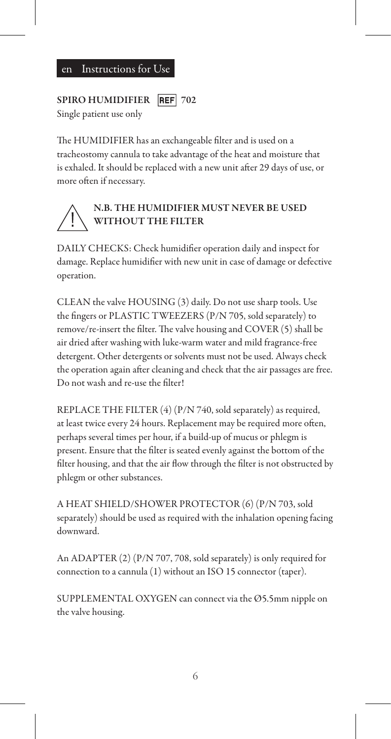

### SPIRO HUMIDIFIER REF 702

Single patient use only

The HUMIDIFIER has an exchangeable filter and is used on a tracheostomy cannula to take advantage of the heat and moisture that is exhaled. It should be replaced with a new unit after 29 days of use, or more often if necessary.

# N.B. THE HUMIDIFIER MUST NEVER BE USED WITHOUT THE FILTER

DAILY CHECKS: Check humidifier operation daily and inspect for damage. Replace humidifier with new unit in case of damage or defective operation.

CLEAN the valve HOUSING (3) daily. Do not use sharp tools. Use the fingers or PLASTIC TWEEZERS (P/N 705, sold separately) to remove/re-insert the filter. The valve housing and COVER (5) shall be air dried after washing with luke-warm water and mild fragrance-free detergent. Other detergents or solvents must not be used. Always check the operation again after cleaning and check that the air passages are free. Do not wash and re-use the filter!

REPLACE THE FILTER (4) (P/N 740, sold separately) as required, at least twice every 24 hours. Replacement may be required more often, perhaps several times per hour, if a build-up of mucus or phlegm is present. Ensure that the filter is seated evenly against the bottom of the filter housing, and that the air flow through the filter is not obstructed by phlegm or other substances.

A HEAT SHIELD/SHOWER PROTECTOR (6) (P/N 703, sold separately) should be used as required with the inhalation opening facing downward.

An ADAPTER (2) (P/N 707, 708, sold separately) is only required for connection to a cannula (1) without an ISO 15 connector (taper).

SUPPLEMENTAL OXYGEN can connect via the Ø5.5mm nipple on the valve housing.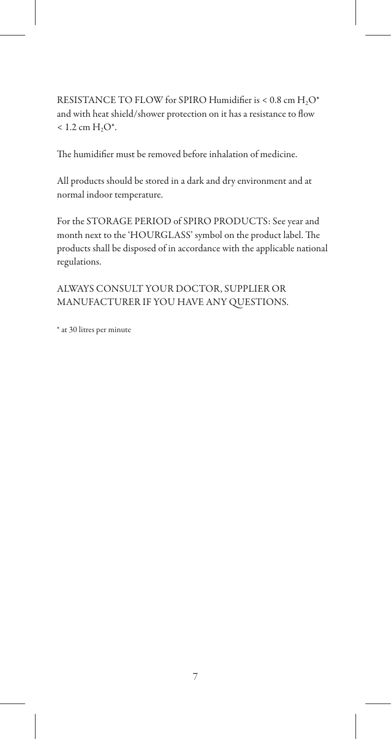RESISTANCE TO FLOW for SPIRO Humidifier is < 0.8 cm H<sub>2</sub>O\* and with heat shield/shower protection on it has a resistance to flow  $< 1.2$  cm  $H, O^*$ .

The humidifier must be removed before inhalation of medicine.

All products should be stored in a dark and dry environment and at normal indoor temperature.

For the STORAGE PERIOD of SPIRO PRODUCTS: See year and month next to the 'HOURGLASS' symbol on the product label. The products shall be disposed of in accordance with the applicable national regulations.

### ALWAYS CONSULT YOUR DOCTOR, SUPPLIER OR MANUFACTURER IF YOU HAVE ANY QUESTIONS.

\* at 30 litres per minute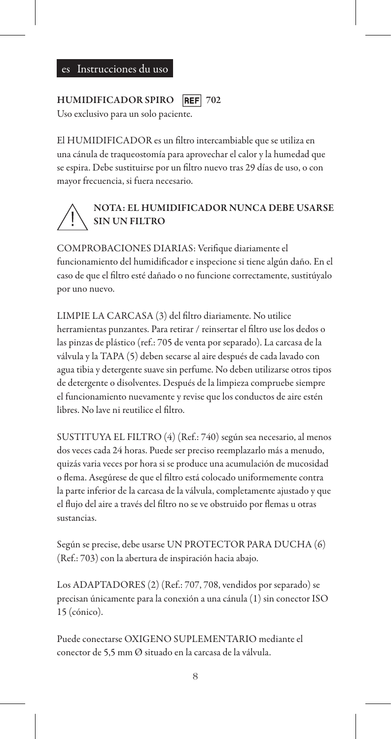### HUMIDIFICADOR SPIRO REF 702

Uso exclusivo para un solo paciente.

El HUMIDIFICADOR es un filtro intercambiable que se utiliza en una cánula de traqueostomía para aprovechar el calor y la humedad que se espira. Debe sustituirse por un filtro nuevo tras 29 días de uso, o con mayor frecuencia, si fuera necesario.

# NOTA: EL HUMIDIFICADOR NUNCA DEBE USARSE SIN UN FILTRO

COMPROBACIONES DIARIAS: Verifique diariamente el funcionamiento del humidificador e inspecione si tiene algún daño. En el caso de que el filtro esté dañado o no funcione correctamente, sustitúyalo por uno nuevo.

LIMPIE LA CARCASA (3) del filtro diariamente. No utilice herramientas punzantes. Para retirar / reinsertar el filtro use los dedos o las pinzas de plástico (ref.: 705 de venta por separado). La carcasa de la válvula y la TAPA (5) deben secarse al aire después de cada lavado con agua tibia y detergente suave sin perfume. No deben utilizarse otros tipos de detergente o disolventes. Después de la limpieza compruebe siempre el funcionamiento nuevamente y revise que los conductos de aire estén libres. No lave ni reutilice el filtro.

SUSTITUYA EL FILTRO (4) (Ref.: 740) según sea necesario, al menos dos veces cada 24 horas. Puede ser preciso reemplazarlo más a menudo, quizás varia veces por hora si se produce una acumulación de mucosidad o flema. Asegúrese de que el filtro está colocado uniformemente contra la parte inferior de la carcasa de la válvula, completamente ajustado y que el flujo del aire a través del filtro no se ve obstruido por flemas u otras sustancias.

Según se precise, debe usarse UN PROTECTOR PARA DUCHA (6) (Ref.: 703) con la abertura de inspiración hacia abajo.

Los ADAPTADORES (2) (Ref.: 707, 708, vendidos por separado) se precisan únicamente para la conexión a una cánula (1) sin conector ISO 15 (cónico).

Puede conectarse OXIGENO SUPLEMENTARIO mediante el conector de 5,5 mm Ø situado en la carcasa de la válvula.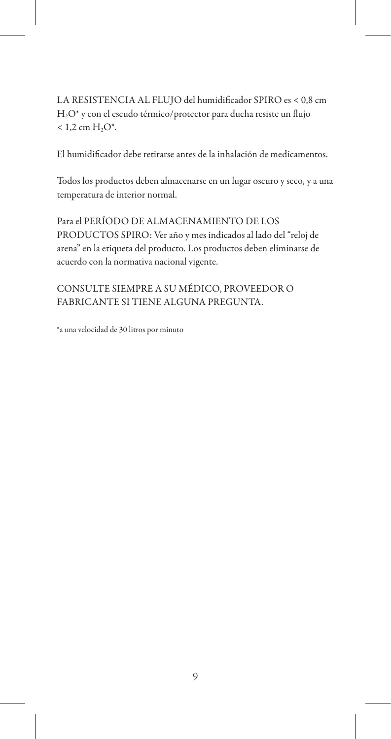LA RESISTENCIA AL FLUJO del humidificador SPIRO es < 0,8 cm H<sub>2</sub>O\* y con el escudo térmico/protector para ducha resiste un flujo  $< 1.2$  cm  $H, O^*$ .

El humidificador debe retirarse antes de la inhalación de medicamentos.

Todos los productos deben almacenarse en un lugar oscuro y seco, y a una temperatura de interior normal.

Para el PERÍODO DE ALMACENAMIENTO DE LOS PRODUCTOS SPIRO: Ver año y mes indicados al lado del "reloj de arena" en la etiqueta del producto. Los productos deben eliminarse de acuerdo con la normativa nacional vigente.

CONSULTE SIEMPRE A SU MÉDICO, PROVEEDOR O FABRICANTE SI TIENE ALGUNA PREGUNTA.

\*a una velocidad de 30 litros por minuto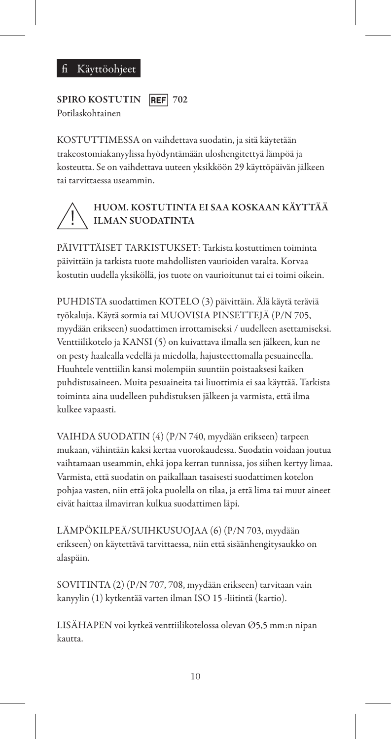### fi Käyttöohjeet

SPIRO KOSTUTIN REF 702 Potilaskohtainen

KOSTUTTIMESSA on vaihdettava suodatin, ja sitä käytetään trakeostomiakanyylissa hyödyntämään uloshengitettyä lämpöä ja kosteutta. Se on vaihdettava uuteen yksikköön 29 käyttöpäivän jälkeen tai tarvittaessa useammin.

# HUOM. KOSTUTINTA EI SAA KOSKAAN KÄYTTÄÄ ILMAN SUODATINTA

PÄIVITTÄISET TARKISTUKSET: Tarkista kostuttimen toiminta päivittäin ja tarkista tuote mahdollisten vaurioiden varalta. Korvaa kostutin uudella yksiköllä, jos tuote on vaurioitunut tai ei toimi oikein.

PUHDISTA suodattimen KOTELO (3) päivittäin. Älä käytä teräviä työkaluja. Käytä sormia tai MUOVISIA PINSETTEJÄ (P/N 705, myydään erikseen) suodattimen irrottamiseksi / uudelleen asettamiseksi. Venttiilikotelo ja KANSI (5) on kuivattava ilmalla sen jälkeen, kun ne on pesty haalealla vedellä ja miedolla, hajusteettomalla pesuaineella. Huuhtele venttiilin kansi molempiin suuntiin poistaaksesi kaiken puhdistusaineen. Muita pesuaineita tai liuottimia ei saa käyttää. Tarkista toiminta aina uudelleen puhdistuksen jälkeen ja varmista, että ilma kulkee vapaasti.

VAIHDA SUODATIN (4) (P/N 740, myydään erikseen) tarpeen mukaan, vähintään kaksi kertaa vuorokaudessa. Suodatin voidaan joutua vaihtamaan useammin, ehkä jopa kerran tunnissa, jos siihen kertyy limaa. Varmista, että suodatin on paikallaan tasaisesti suodattimen kotelon pohjaa vasten, niin että joka puolella on tilaa, ja että lima tai muut aineet eivät haittaa ilmavirran kulkua suodattimen läpi.

LÄMPÖKILPEÄ/SUIHKUSUOJAA (6) (P/N 703, myydään erikseen) on käytettävä tarvittaessa, niin että sisäänhengitysaukko on alaspäin.

SOVITINTA (2) (P/N 707, 708, myydään erikseen) tarvitaan vain kanyylin (1) kytkentää varten ilman ISO 15 -liitintä (kartio).

LISÄHAPEN voi kytkeä venttiilikotelossa olevan Ø5,5 mm:n nipan kautta.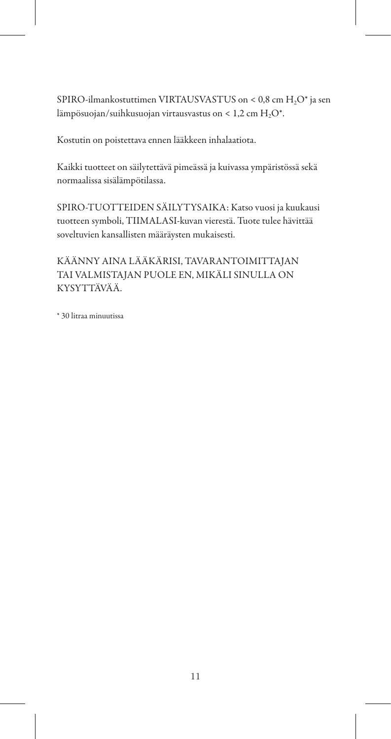SPIRO-ilmankostuttimen VIRTAUSVASTUS on < 0,8 cm H<sub>2</sub>O\* ja sen lämpösuojan/suihkusuojan virtausvastus on < 1,2 cm  $H_2O^*$ .

Kostutin on poistettava ennen lääkkeen inhalaatiota.

Kaikki tuotteet on säilytettävä pimeässä ja kuivassa ympäristössä sekä normaalissa sisälämpötilassa.

SPIRO-TUOTTEIDEN SÄILYTYSAIKA: Katso vuosi ja kuukausi tuotteen symboli, TIIMALASI-kuvan vierestä. Tuote tulee hävittää soveltuvien kansallisten määräysten mukaisesti.

KÄÄNNY AINA LÄÄKÄRISI, TAVARANTOIMITTAJAN TAI VALMISTAJAN PUOLE EN, MIKÄLI SINULLA ON KYSYTTÄVÄÄ.

\* 30 litraa minuutissa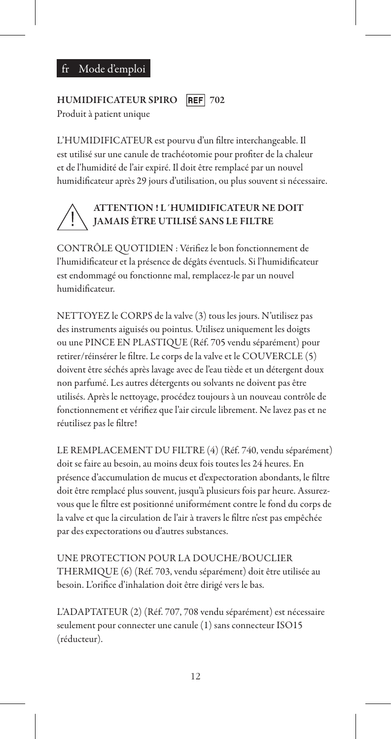### fr Mode d'emploi

# HUMIDIFICATEUR SPIRO REF 702

Produit à patient unique

L'HUMIDIFICATEUR est pourvu d'un filtre interchangeable. Il est utilisé sur une canule de trachéotomie pour profiter de la chaleur et de l'humidité de l'air expiré. Il doit être remplacé par un nouvel humidificateur après 29 jours d'utilisation, ou plus souvent si nécessaire.

## ATTENTION ! L´HUMIDIFICATEUR NE DOIT JAMAIS ÊTRE UTILISÉ SANS LE FILTRE

CONTRÔLE QUOTIDIEN : Vérifiez le bon fonctionnement de l'humidificateur et la présence de dégâts éventuels. Si l'humidificateur est endommagé ou fonctionne mal, remplacez-le par un nouvel humidificateur.

NETTOYEZ le CORPS de la valve (3) tous les jours. N'utilisez pas des instruments aiguisés ou pointus. Utilisez uniquement les doigts ou une PINCE EN PLASTIQUE (Réf. 705 vendu séparément) pour retirer/réinsérer le filtre. Le corps de la valve et le COUVERCLE (5) doivent être séchés après lavage avec de l'eau tiède et un détergent doux non parfumé. Les autres détergents ou solvants ne doivent pas être utilisés. Après le nettoyage, procédez toujours à un nouveau contrôle de fonctionnement et vérifiez que l'air circule librement. Ne lavez pas et ne réutilisez pas le filtre!

LE REMPLACEMENT DU FILTRE (4) (Réf. 740, vendu séparément) doit se faire au besoin, au moins deux fois toutes les 24 heures. En présence d'accumulation de mucus et d'expectoration abondants, le filtre doit être remplacé plus souvent, jusqu'à plusieurs fois par heure. Assurezvous que le filtre est positionné uniformément contre le fond du corps de la valve et que la circulation de l'air à travers le filtre n'est pas empêchée par des expectorations ou d'autres substances.

UNE PROTECTION POUR LA DOUCHE/BOUCLIER THERMIQUE (6) (Réf. 703, vendu séparément) doit être utilisée au besoin. L'orifice d'inhalation doit être dirigé vers le bas.

L'ADAPTATEUR (2) (Réf. 707, 708 vendu séparément) est nécessaire seulement pour connecter une canule (1) sans connecteur ISO15 (réducteur).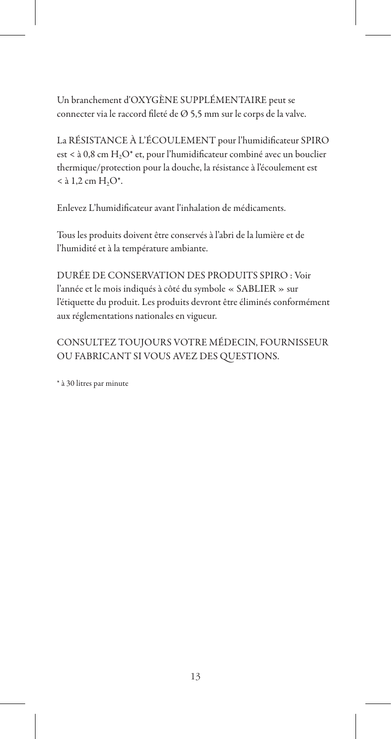Un branchement d'OXYGÈNE SUPPLÉMENTAIRE peut se connecter via le raccord fileté de Ø 5,5 mm sur le corps de la valve.

La RÉSISTANCE À L'ÉCOULEMENT pour l'humidificateur SPIRO est < à 0,8 cm H<sub>2</sub>O\* et, pour l'humidificateur combiné avec un bouclier thermique/protection pour la douche, la résistance à l'écoulement est  $<$  à 1.2 cm  $H_2O^*$ .

Enlevez L'humidificateur avant l'inhalation de médicaments.

Tous les produits doivent être conservés à l'abri de la lumière et de l'humidité et à la température ambiante.

DURÉE DE CONSERVATION DES PRODUITS SPIRO : Voir l'année et le mois indiqués à côté du symbole « SABLIER » sur l'étiquette du produit. Les produits devront être éliminés conformément aux réglementations nationales en vigueur.

CONSULTEZ TOUJOURS VOTRE MÉDECIN, FOURNISSEUR OU FABRICANT SI VOUS AVEZ DES QUESTIONS.

\* à 30 litres par minute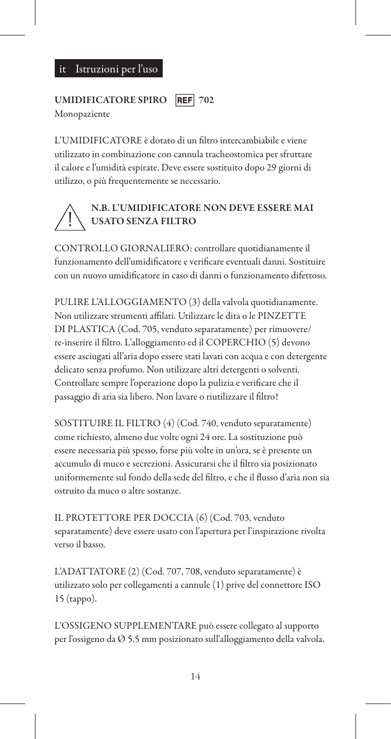## UMIDIFICATORE SPIRO REF 702

Monopaziente

L'UMIDIFICATORE è dotato di un filtro intercambiabile e viene utilizzato in combinazione con cannula tracheostomica per sfruttare il calore e l'umidità espirate. Deve essere sostituito dopo 29 giorni di utilizzo, o più frequentemente se necessario.

# N.B. L'UMIDIFICATORE NON DEVE ESSERE MAI USATO SENZA FILTRO

CONTROLLO GIORNALIERO: controllare quotidianamente il funzionamento dell'umidificatore e verificare eventuali danni. Sostituire con un nuovo umidificatore in caso di danni o funzionamento difettoso.

PULIRE L'ALLOGGIAMENTO (3) della valvola quotidianamente. Non utilizzare strumenti affilati. Utilizzare le dita o le PINZETTE DI PLASTICA (Cod. 705, venduto separatamente) per rimuovere/ re-inserire il filtro. L'alloggiamento ed il COPERCHIO (5) devono essere asciugati all'aria dopo essere stati lavati con acqua e con detergente delicato senza profumo. Non utilizzare altri detergenti o solventi. Controllare sempre l'operazione dopo la pulizia e verificare che il passaggio di aria sia libero. Non lavare o riutilizzare il filtro!

SOSTITUIRE IL FILTRO (4) (Cod. 740, venduto separatamente) come richiesto, almeno due volte ogni 24 ore. La sostituzione può essere necessaria più spesso, forse più volte in un'ora, se è presente un accumulo di muco e secrezioni. Assicurarsi che il filtro sia posizionato uniformemente sul fondo della sede del filtro, e che il flusso d'aria non sia ostruito da muco o altre sostanze.

IL PROTETTORE PER DOCCIA (6) (Cod. 703, venduto separatamente) deve essere usato con l'apertura per l'inspirazione rivolta verso il basso.

L'ADATTATORE (2) (Cod. 707, 708, venduto separatamente) è utilizzato solo per collegamenti a cannule (1) prive del connettore ISO 15 (tappo).

L'OSSIGENO SUPPLEMENTARE può essere collegato al supporto per l'ossigeno da Ø 5.5 mm posizionato sull'alloggiamento della valvola.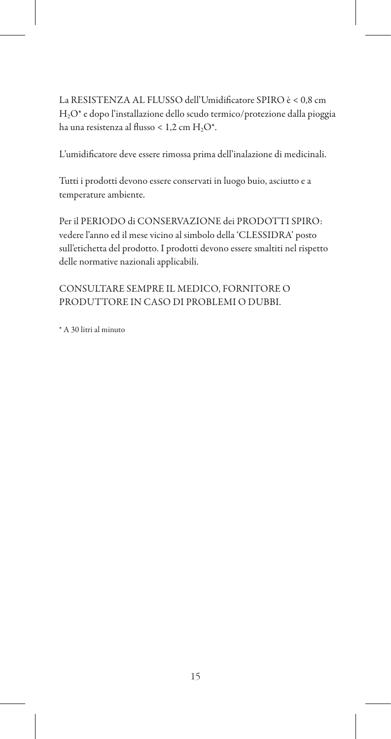La RESISTENZA AL FLUSSO dell'Umidificatore SPIRO è < 0,8 cm H<sub>2</sub>O\* e dopo l'installazione dello scudo termico/protezione dalla pioggia ha una resistenza al flusso <  $1,2$  cm  $H, O^*$ .

L'umidificatore deve essere rimossa prima dell'inalazione di medicinali.

Tutti i prodotti devono essere conservati in luogo buio, asciutto e a temperature ambiente.

Per il PERIODO di CONSERVAZIONE dei PRODOTTI SPIRO: vedere l'anno ed il mese vicino al simbolo della 'CLESSIDRA' posto sull'etichetta del prodotto. I prodotti devono essere smaltiti nel rispetto delle normative nazionali applicabili.

CONSULTARE SEMPRE IL MEDICO, FORNITORE O PRODUTTORE IN CASO DI PROBLEMI O DUBBI.

\* A 30 litri al minuto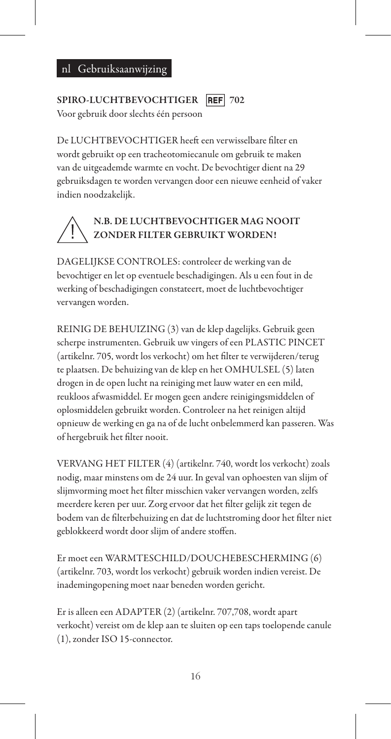## nl Gebruiksaanwijzing

SPIRO-LUCHTBEVOCHTIGER REF 702 Voor gebruik door slechts één persoon

De LUCHTBEVOCHTIGER heeft een verwisselbare filter en wordt gebruikt op een tracheotomiecanule om gebruik te maken van de uitgeademde warmte en vocht. De bevochtiger dient na 29 gebruiksdagen te worden vervangen door een nieuwe eenheid of vaker indien noodzakelijk.

## N.B. DE LUCHTBEVOCHTIGER MAG NOOIT ZONDER FILTER GEBRUIKT WORDEN!

DAGELIJKSE CONTROLES: controleer de werking van de bevochtiger en let op eventuele beschadigingen. Als u een fout in de werking of beschadigingen constateert, moet de luchtbevochtiger vervangen worden.

REINIG DE BEHUIZING (3) van de klep dagelijks. Gebruik geen scherpe instrumenten. Gebruik uw vingers of een PLASTIC PINCET (artikelnr. 705, wordt los verkocht) om het filter te verwijderen/terug te plaatsen. De behuizing van de klep en het OMHULSEL (5) laten drogen in de open lucht na reiniging met lauw water en een mild, reukloos afwasmiddel. Er mogen geen andere reinigingsmiddelen of oplosmiddelen gebruikt worden. Controleer na het reinigen altijd opnieuw de werking en ga na of de lucht onbelemmerd kan passeren. Was of hergebruik het filter nooit.

VERVANG HET FILTER (4) (artikelnr. 740, wordt los verkocht) zoals nodig, maar minstens om de 24 uur. In geval van ophoesten van slijm of slijmvorming moet het filter misschien vaker vervangen worden, zelfs meerdere keren per uur. Zorg ervoor dat het filter gelijk zit tegen de bodem van de filterbehuizing en dat de luchtstroming door het filter niet geblokkeerd wordt door slijm of andere stoffen.

Er moet een WARMTESCHILD/DOUCHEBESCHERMING (6) (artikelnr. 703, wordt los verkocht) gebruik worden indien vereist. De inademingopening moet naar beneden worden gericht.

Er is alleen een ADAPTER (2) (artikelnr. 707,708, wordt apart verkocht) vereist om de klep aan te sluiten op een taps toelopende canule (1), zonder ISO 15-connector.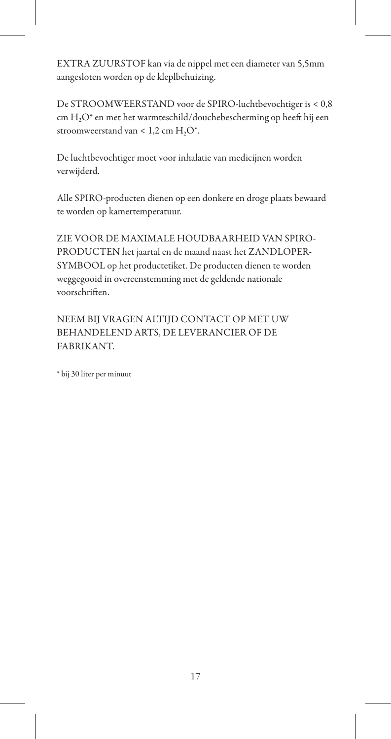EXTRA ZUURSTOF kan via de nippel met een diameter van 5,5mm aangesloten worden op de kleplbehuizing.

De STROOMWEERSTAND voor de SPIRO-luchtbevochtiger is < 0,8 cm H2O\* en met het warmteschild/douchebescherming op heeft hij een stroomweerstand van <  $1,2$  cm  $H, O^*$ .

De luchtbevochtiger moet voor inhalatie van medicijnen worden verwijderd.

Alle SPIRO-producten dienen op een donkere en droge plaats bewaard te worden op kamertemperatuur.

ZIE VOOR DE MAXIMALE HOUDBAARHEID VAN SPIRO-PRODUCTEN het jaartal en de maand naast het ZANDLOPER-SYMBOOL op het productetiket. De producten dienen te worden weggegooid in overeenstemming met de geldende nationale voorschriften.

NEEM BIJ VRAGEN ALTIJD CONTACT OP MET UW BEHANDELEND ARTS, DE LEVERANCIER OF DE **FARRIKANT** 

\* bij 30 liter per minuut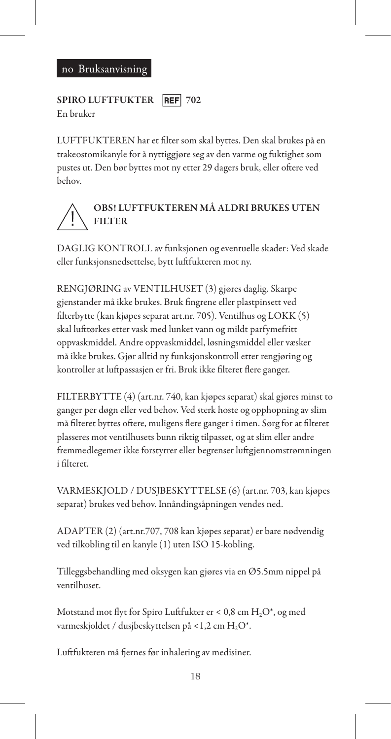#### no Bruksanvisning

#### SPIRO LUFTFUKTER REF 702 En bruker

LUFTFUKTEREN har et filter som skal byttes. Den skal brukes på en trakeostomikanyle for å nyttiggjøre seg av den varme og fuktighet som pustes ut. Den bør byttes mot ny etter 29 dagers bruk, eller oftere ved behov.

# OBS! LUFTFUKTEREN MÅ ALDRI BRUKES UTEN FILTER

DAGLIG KONTROLL av funksjonen og eventuelle skader: Ved skade eller funksjonsnedsettelse, bytt luftfukteren mot ny.

RENGJØRING av VENTILHUSET (3) gjøres daglig. Skarpe gjenstander må ikke brukes. Bruk fingrene eller plastpinsett ved filterbytte (kan kjøpes separat art.nr. 705). Ventilhus og LOKK (5) skal lufttørkes etter vask med lunket vann og mildt parfymefritt oppvaskmiddel. Andre oppvaskmiddel, løsningsmiddel eller væsker må ikke brukes. Gjør alltid ny funksjonskontroll etter rengjøring og kontroller at luftpassasjen er fri. Bruk ikke filteret flere ganger.

FILTERBYTTE (4) (art.nr. 740, kan kjøpes separat) skal gjøres minst to ganger per døgn eller ved behov. Ved sterk hoste og opphopning av slim må filteret byttes oftere, muligens flere ganger i timen. Sørg for at filteret plasseres mot ventilhusets bunn riktig tilpasset, og at slim eller andre fremmedlegemer ikke forstyrrer eller begrenser luftgjennomstrømningen i filteret.

VARMESKJOLD / DUSJBESKYTTELSE (6) (art.nr. 703, kan kjøpes separat) brukes ved behov. Innåndingsåpningen vendes ned.

ADAPTER (2) (art.nr.707, 708 kan kjøpes separat) er bare nødvendig ved tilkobling til en kanyle (1) uten ISO 15-kobling.

Tilleggsbehandling med oksygen kan gjøres via en Ø5.5mm nippel på ventilhuset.

Motstand mot flyt for Spiro Luftfukter er < 0,8 cm H<sub>2</sub>O\*, og med varmeskjoldet / dusjbeskyttelsen på <1,2 cm H<sub>2</sub>O\*.

Luftfukteren må fjernes før inhalering av medisiner.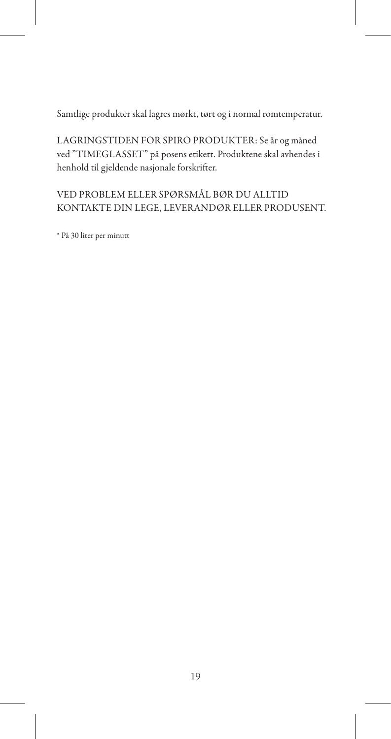Samtlige produkter skal lagres mørkt, tørt og i normal romtemperatur.

LAGRINGSTIDEN FOR SPIRO PRODUKTER: Se år og måned ved "TIMEGLASSET" på posens etikett. Produktene skal avhendes i henhold til gjeldende nasjonale forskrifter.

VED PROBLEM ELLER SPØRSMÅL BØR DU ALLTID KONTAKTE DIN LEGE, LEVERANDØR ELLER PRODUSENT.

\* På 30 liter per minutt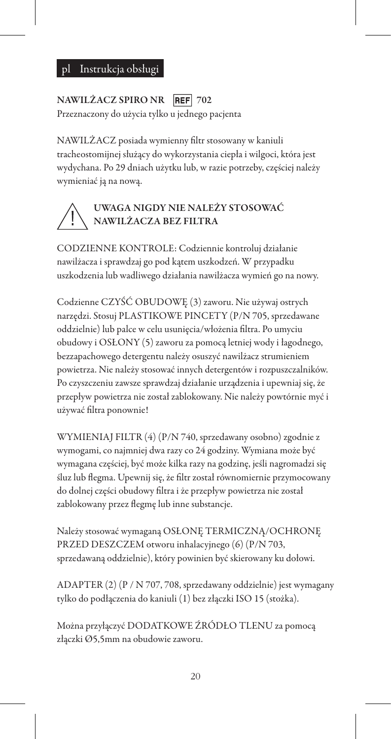# pl Instrukcja obsługi

### NAWILŻACZ SPIRO NR REF 702 Przeznaczony do użycia tylko u jednego pacjenta

NAWILŻACZ posiada wymienny filtr stosowany w kaniuli tracheostomijnej służący do wykorzystania ciepła i wilgoci, która jest wydychana. Po 29 dniach użytku lub, w razie potrzeby, częściej należy wymieniać ją na nową.

# UWAGA NIGDY NIE NALEŻY STOSOWAĆ NAWILŻACZA BEZ FILTRA

CODZIENNE KONTROLE: Codziennie kontroluj działanie nawilżacza i sprawdzaj go pod kątem uszkodzeń. W przypadku uszkodzenia lub wadliwego działania nawilżacza wymień go na nowy.

Codzienne CZYŚĆ OBUDOWĘ (3) zaworu. Nie używaj ostrych narzędzi. Stosuj PLASTIKOWE PINCETY (P/N 705, sprzedawane oddzielnie) lub palce w celu usunięcia/włożenia filtra. Po umyciu obudowy i OSŁONY (5) zaworu za pomocą letniej wody i łagodnego, bezzapachowego detergentu należy osuszyć nawilżacz strumieniem powietrza. Nie należy stosować innych detergentów i rozpuszczalników. Po czyszczeniu zawsze sprawdzaj działanie urządzenia i upewniaj się, że przepływ powietrza nie został zablokowany. Nie należy powtórnie myć i używać filtra ponownie!

WYMIENIAJ FILTR (4) (P/N 740, sprzedawany osobno) zgodnie z wymogami, co najmniej dwa razy co 24 godziny. Wymiana może być wymagana częściej, być może kilka razy na godzinę, jeśli nagromadzi się śluz lub flegma. Upewnij się, że filtr został równomiernie przymocowany do dolnej części obudowy filtra i że przepływ powietrza nie został zablokowany przez flegmę lub inne substancje.

Należy stosować wymaganą OSŁONĘ TERMICZNĄ/OCHRONĘ PRZED DESZCZEM otworu inhalacyjnego (6) (P/N 703, sprzedawaną oddzielnie), który powinien być skierowany ku dołowi.

ADAPTER (2) (P / N 707, 708, sprzedawany oddzielnie) jest wymagany tylko do podłączenia do kaniuli (1) bez złączki ISO 15 (stożka).

Można przyłączyć DODATKOWE ŹRÓDŁO TLENU za pomocą złączki Ø5,5mm na obudowie zaworu.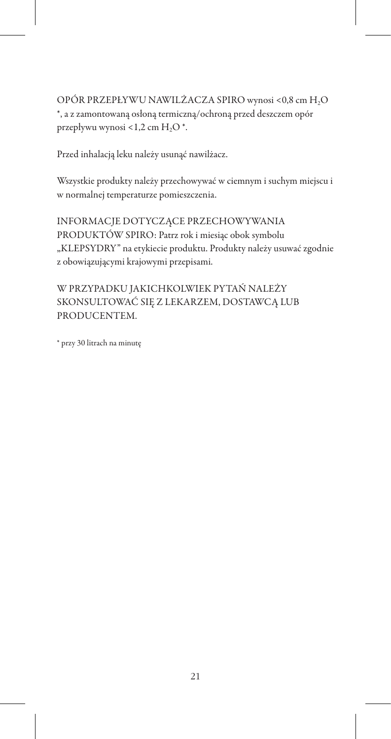OPÓR PRZEPŁYWU NAWILŻACZA SPIRO wynosi <0,8 cm H2O \*, a z zamontowaną osłoną termiczną/ochroną przed deszczem opór przepływu wynosi <1,2 cm H<sub>2</sub>O \*.

Przed inhalacją leku należy usunąć nawilżacz.

Wszystkie produkty należy przechowywać w ciemnym i suchym miejscu i w normalnej temperaturze pomieszczenia.

INFORMACJE DOTYCZĄCE PRZECHOWYWANIA PRODUKTÓW SPIRO: Patrz rok i miesiąc obok symbolu "KLEPSYDRY" na etykiecie produktu. Produkty należy usuwać zgodnie z obowiązującymi krajowymi przepisami.

W PRZYPADKU JAKICHKOLWIEK PYTAŃ NALEŻY SKONSULTOWAĆ SIĘ Z LEKARZEM, DOSTAWCA LUB PRODUCENTEM.

\* przy 30 litrach na minutę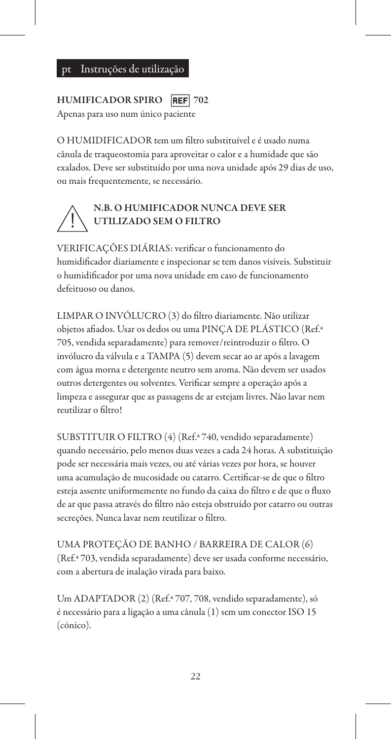#### pt Instruções de utilização

# HUMIFICADOR SPIRO REF 702

Apenas para uso num único paciente

O HUMIDIFICADOR tem um filtro substituível e é usado numa cânula de traqueostomia para aproveitar o calor e a humidade que são exalados. Deve ser substituído por uma nova unidade após 29 dias de uso, ou mais frequentemente, se necessário.

# N.B. O HUMIFICADOR NUNCA DEVE SER UTILIZADO SEM O FILTRO

VERIFICAÇÕES DIÁRIAS: verificar o funcionamento do humidificador diariamente e inspecionar se tem danos visíveis. Substituir o humidificador por uma nova unidade em caso de funcionamento defeituoso ou danos.

LIMPAR O INVÓLUCRO (3) do filtro diariamente. Não utilizar objetos afiados. Usar os dedos ou uma PINÇA DE PLÁSTICO (Ref.ª 705, vendida separadamente) para remover/reintroduzir o filtro. O invólucro da válvula e a TAMPA (5) devem secar ao ar após a lavagem com água morna e detergente neutro sem aroma. Não devem ser usados outros detergentes ou solventes. Verificar sempre a operação após a limpeza e assegurar que as passagens de ar estejam livres. Não lavar nem reutilizar o filtro!

SUBSTITUIR O FILTRO (4) (Ref.ª 740, vendido separadamente) quando necessário, pelo menos duas vezes a cada 24 horas. A substituição pode ser necessária mais vezes, ou até várias vezes por hora, se houver uma acumulação de mucosidade ou catarro. Certificar-se de que o filtro esteja assente uniformemente no fundo da caixa do filtro e de que o fluxo de ar que passa através do filtro não esteja obstruído por catarro ou outras secreções. Nunca lavar nem reutilizar o filtro.

UMA PROTEÇÃO DE BANHO / BARREIRA DE CALOR (6) (Ref.ª 703, vendida separadamente) deve ser usada conforme necessário, com a abertura de inalação virada para baixo.

Um ADAPTADOR (2) (Ref.ª 707, 708, vendido separadamente), só é necessário para a ligação a uma cânula (1) sem um conector ISO 15 (cónico).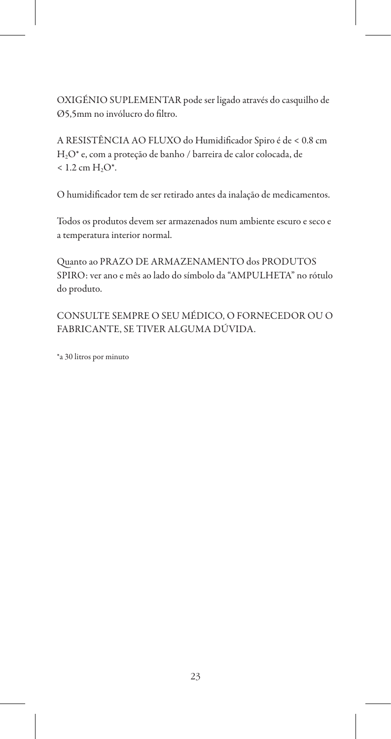OXIGÉNIO SUPLEMENTAR pode ser ligado através do casquilho de Ø5,5mm no invólucro do filtro.

A RESISTÊNCIA AO FLUXO do Humidificador Spiro é de < 0.8 cm H2O\* e, com a proteção de banho / barreira de calor colocada, de  $< 1.2$  cm  $H, O^*$ .

O humidificador tem de ser retirado antes da inalação de medicamentos.

Todos os produtos devem ser armazenados num ambiente escuro e seco e a temperatura interior normal.

Quanto ao PRAZO DE ARMAZENAMENTO dos PRODUTOS SPIRO: ver ano e mês ao lado do símbolo da "AMPULHETA" no rótulo do produto.

CONSULTE SEMPRE O SEU MÉDICO, O FORNECEDOR OU O FABRICANTE, SE TIVER ALGUMA DÚVIDA.

\*a 30 litros por minuto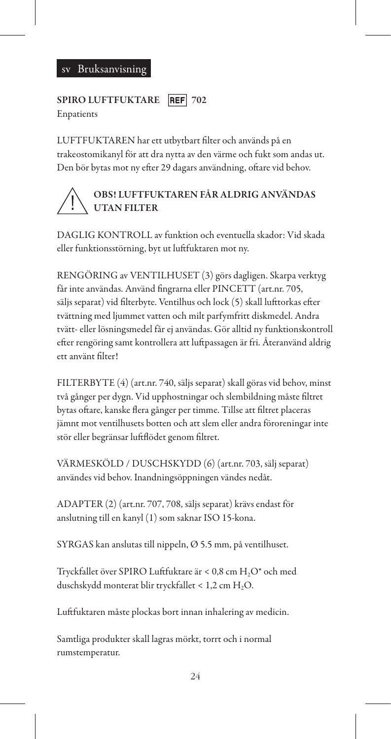#### sv Bruksanvisning

## SPIRO LUFTFUKTARE REF 702

Enpatients

LUFTFUKTAREN har ett utbytbart filter och används på en trakeostomikanyl för att dra nytta av den värme och fukt som andas ut. Den bör bytas mot ny efter 29 dagars användning, oftare vid behov.

## OBS! LUFTFUKTAREN FÅR ALDRIG ANVÄNDAS UTAN FILTER

DAGLIG KONTROLL av funktion och eventuella skador: Vid skada eller funktionsstörning, byt ut luftfuktaren mot ny.

RENGÖRING av VENTILHUSET (3) görs dagligen. Skarpa verktyg får inte användas. Använd fingrarna eller PINCETT (art.nr. 705, säljs separat) vid filterbyte. Ventilhus och lock (5) skall lufttorkas efter tvättning med ljummet vatten och milt parfymfritt diskmedel. Andra tvätt- eller lösningsmedel får ej användas. Gör alltid ny funktionskontroll efter rengöring samt kontrollera att luftpassagen är fri. Återanvänd aldrig ett använt filter!

FILTERBYTE (4) (art.nr. 740, säljs separat) skall göras vid behov, minst två gånger per dygn. Vid upphostningar och slembildning måste filtret bytas oftare, kanske flera gånger per timme. Tillse att filtret placeras jämnt mot ventilhusets botten och att slem eller andra föroreningar inte stör eller begränsar luftflödet genom filtret.

VÄRMESKÖLD / DUSCHSKYDD (6) (art.nr. 703, sälj separat) användes vid behov. Inandningsöppningen vändes nedåt.

ADAPTER (2) (art.nr. 707, 708, säljs separat) krävs endast för anslutning till en kanyl (1) som saknar ISO 15-kona.

SYRGAS kan anslutas till nippeln, Ø 5.5 mm, på ventilhuset.

Tryckfallet över SPIRO Luftfuktare är < 0,8 cm H<sub>2</sub>O\* och med duschskydd monterat blir tryckfallet < 1,2 cm H<sub>2</sub>O.

Luftfuktaren måste plockas bort innan inhalering av medicin.

Samtliga produkter skall lagras mörkt, torrt och i normal rumstemperatur.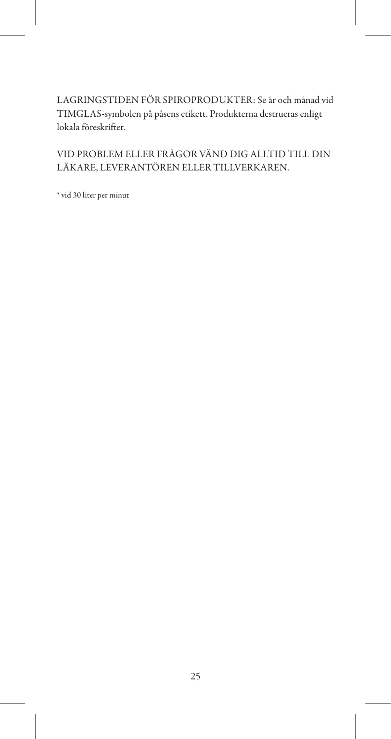LAGRINGSTIDEN FÖR SPIROPRODUKTER: Se år och månad vid TIMGLAS-symbolen på påsens etikett. Produkterna destrueras enligt lokala föreskrifter.

### VID PROBLEM ELLER FRÅGOR VÄND DIG ALLTID TILL DIN LÄKARE, LEVERANTÖREN ELLER TILLVERKAREN.

\* vid 30 liter per minut